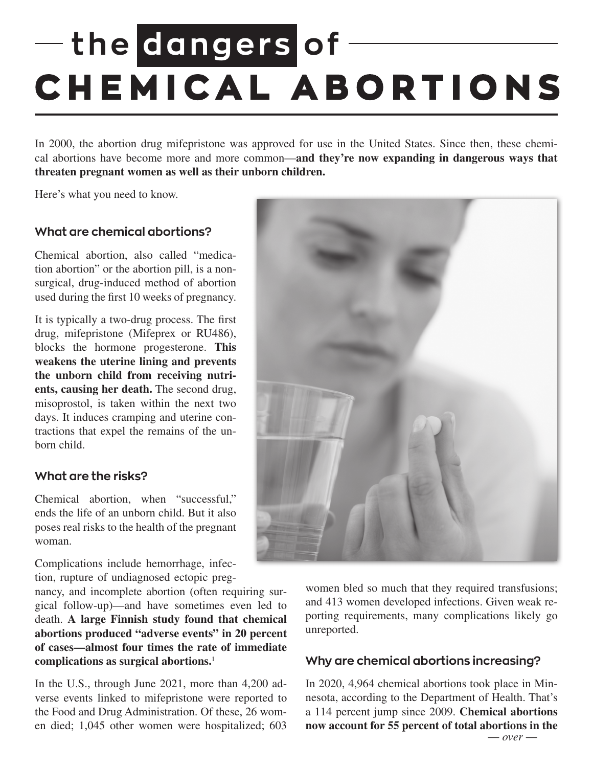# **the dangers of CHEMICAL ABORTIONS**

In 2000, the abortion drug mifepristone was approved for use in the United States. Since then, these chemical abortions have become more and more common—**and they're now expanding in dangerous ways that threaten pregnant women as well as their unborn children.** 

Here's what you need to know.

## **What are chemical abortions?**

Chemical abortion, also called "medication abortion" or the abortion pill, is a nonsurgical, drug-induced method of abortion used during the first 10 weeks of pregnancy.

It is typically a two-drug process. The first drug, mifepristone (Mifeprex or RU486), blocks the hormone progesterone. **This weakens the uterine lining and prevents the unborn child from receiving nutrients, causing her death.** The second drug, misoprostol, is taken within the next two days. It induces cramping and uterine contractions that expel the remains of the unborn child.

#### **What are the risks?**

Chemical abortion, when "successful," ends the life of an unborn child. But it also poses real risks to the health of the pregnant woman.

Complications include hemorrhage, infection, rupture of undiagnosed ectopic preg-

nancy, and incomplete abortion (often requiring surgical follow-up)—and have sometimes even led to death. **A large Finnish study found that chemical abortions produced "adverse events" in 20 percent of cases—almost four times the rate of immediate complications as surgical abortions.**<sup>1</sup>

In the U.S., through June 2021, more than 4,200 adverse events linked to mifepristone were reported to the Food and Drug Administration. Of these, 26 women died; 1,045 other women were hospitalized; 603



women bled so much that they required transfusions; and 413 women developed infections. Given weak reporting requirements, many complications likely go unreported.

#### **Why are chemical abortions increasing?**

In 2020, 4,964 chemical abortions took place in Minnesota, according to the Department of Health. That's a 114 percent jump since 2009. **Chemical abortions now account for 55 percent of total abortions in the**  $\frac{1}{\sqrt{1-\rho}}$